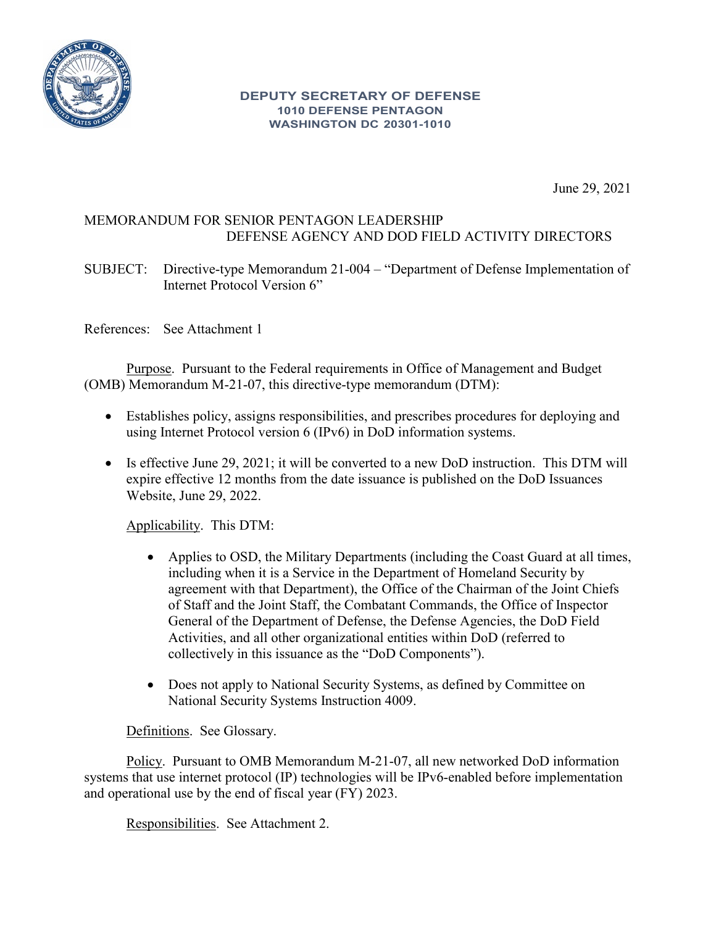

#### **DEPUTY SECRETARY OF DEFENSE 1010 DEFENSE PENTAGON WASHINGTON DC 20301-1010**

June 29, 2021

## MEMORANDUM FOR SENIOR PENTAGON LEADERSHIP DEFENSE AGENCY AND DOD FIELD ACTIVITY DIRECTORS

SUBJECT: Directive-type Memorandum 21-004 – "Department of Defense Implementation of Internet Protocol Version 6"

References: See Attachment 1

Purpose. Pursuant to the Federal requirements in Office of Management and Budget (OMB) Memorandum M-21-07, this directive-type memorandum (DTM):

- Establishes policy, assigns responsibilities, and prescribes procedures for deploying and using Internet Protocol version 6 (IPv6) in DoD information systems.
- Is effective June 29, 2021; it will be converted to a new DoD instruction. This DTM will expire effective 12 months from the date issuance is published on the DoD Issuances Website, June 29, 2022.

Applicability. This DTM:

- Applies to OSD, the Military Departments (including the Coast Guard at all times, including when it is a Service in the Department of Homeland Security by agreement with that Department), the Office of the Chairman of the Joint Chiefs of Staff and the Joint Staff, the Combatant Commands, the Office of Inspector General of the Department of Defense, the Defense Agencies, the DoD Field Activities, and all other organizational entities within DoD (referred to collectively in this issuance as the "DoD Components").
- Does not apply to National Security Systems, as defined by Committee on National Security Systems Instruction 4009.

Definitions. See Glossary.

Policy. Pursuant to OMB Memorandum M-21-07, all new networked DoD information systems that use internet protocol (IP) technologies will be IPv6-enabled before implementation and operational use by the end of fiscal year (FY) 2023.

Responsibilities. See Attachment 2.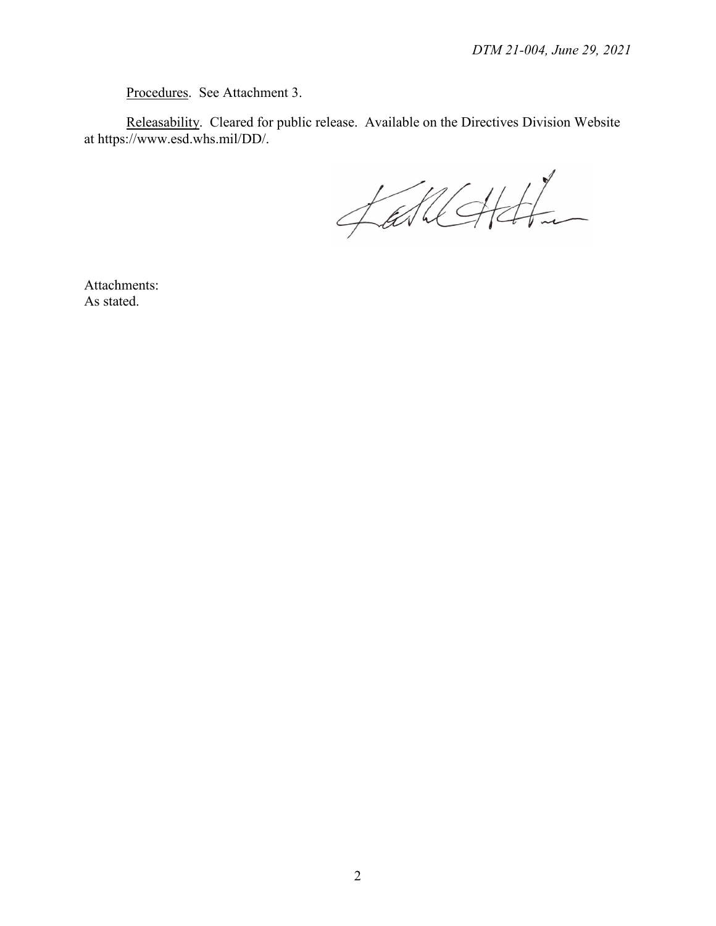Procedures. See Attachment 3.

Releasability. Cleared for public release. Available on the Directives Division Website at https://www.esd.whs.mil/DD/.

fallchtt

Attachments: As stated.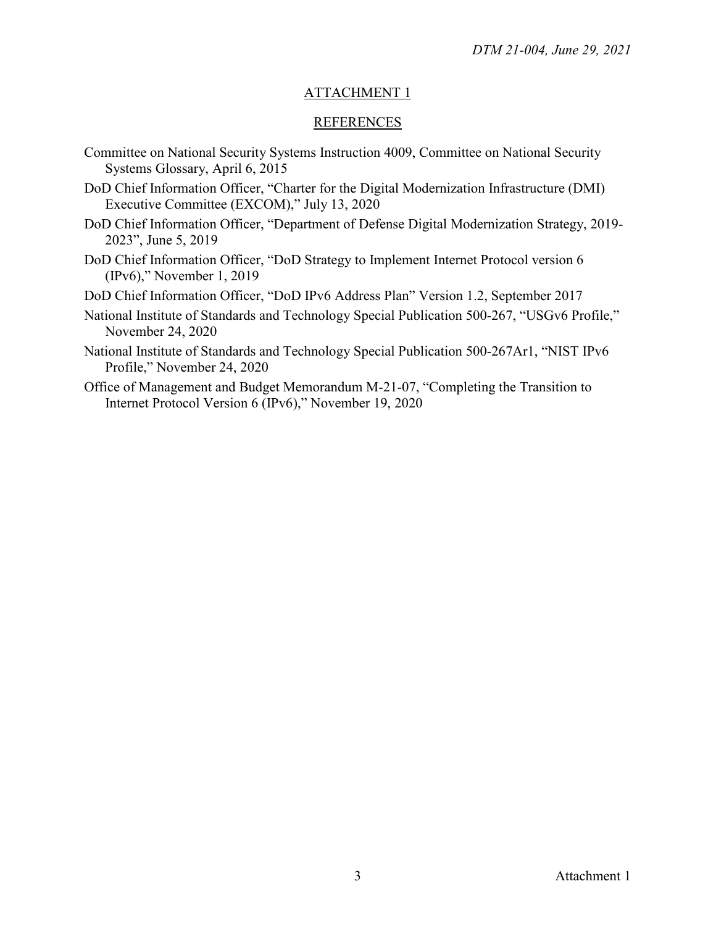### ATTACHMENT 1

#### **REFERENCES**

- Committee on National Security Systems Instruction 4009, Committee on National Security Systems Glossary, April 6, 2015
- DoD Chief Information Officer, "Charter for the Digital Modernization Infrastructure (DMI) Executive Committee (EXCOM)," July 13, 2020
- DoD Chief Information Officer, "Department of Defense Digital Modernization Strategy, 2019- 2023", June 5, 2019
- DoD Chief Information Officer, "DoD Strategy to Implement Internet Protocol version 6 (IPv6)," November 1, 2019
- DoD Chief Information Officer, "DoD IPv6 Address Plan" Version 1.2, September 2017
- National Institute of Standards and Technology Special Publication 500-267, "USGv6 Profile," November 24, 2020
- National Institute of Standards and Technology Special Publication 500-267Ar1, "NIST IPv6 Profile," November 24, 2020
- Office of Management and Budget Memorandum M-21-07, "Completing the Transition to Internet Protocol Version 6 (IPv6)," November 19, 2020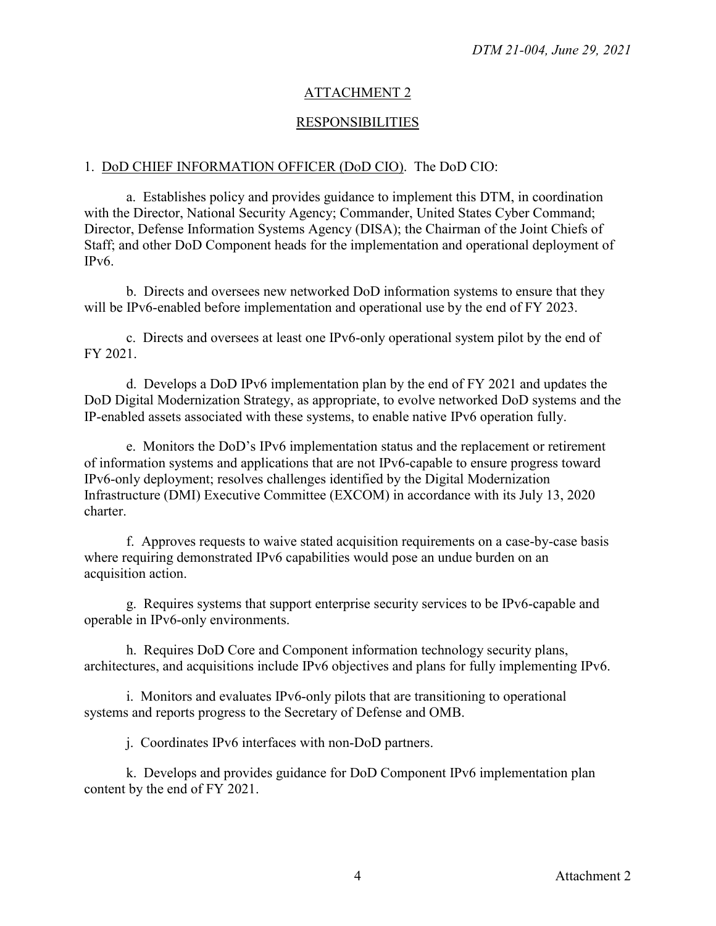## ATTACHMENT 2

## RESPONSIBILITIES

#### 1. DoD CHIEF INFORMATION OFFICER (DoD CIO). The DoD CIO:

a. Establishes policy and provides guidance to implement this DTM, in coordination with the Director, National Security Agency; Commander, United States Cyber Command; Director, Defense Information Systems Agency (DISA); the Chairman of the Joint Chiefs of Staff; and other DoD Component heads for the implementation and operational deployment of IPv6.

b. Directs and oversees new networked DoD information systems to ensure that they will be IPv6-enabled before implementation and operational use by the end of FY 2023.

c. Directs and oversees at least one IPv6-only operational system pilot by the end of FY 2021.

d. Develops a DoD IPv6 implementation plan by the end of FY 2021 and updates the DoD Digital Modernization Strategy, as appropriate, to evolve networked DoD systems and the IP-enabled assets associated with these systems, to enable native IPv6 operation fully.

e. Monitors the DoD's IPv6 implementation status and the replacement or retirement of information systems and applications that are not IPv6-capable to ensure progress toward IPv6-only deployment; resolves challenges identified by the Digital Modernization Infrastructure (DMI) Executive Committee (EXCOM) in accordance with its July 13, 2020 charter.

f. Approves requests to waive stated acquisition requirements on a case-by-case basis where requiring demonstrated IPv6 capabilities would pose an undue burden on an acquisition action.

g. Requires systems that support enterprise security services to be IPv6-capable and operable in IPv6-only environments.

h. Requires DoD Core and Component information technology security plans, architectures, and acquisitions include IPv6 objectives and plans for fully implementing IPv6.

i. Monitors and evaluates IPv6-only pilots that are transitioning to operational systems and reports progress to the Secretary of Defense and OMB.

j. Coordinates IPv6 interfaces with non-DoD partners.

k. Develops and provides guidance for DoD Component IPv6 implementation plan content by the end of FY 2021.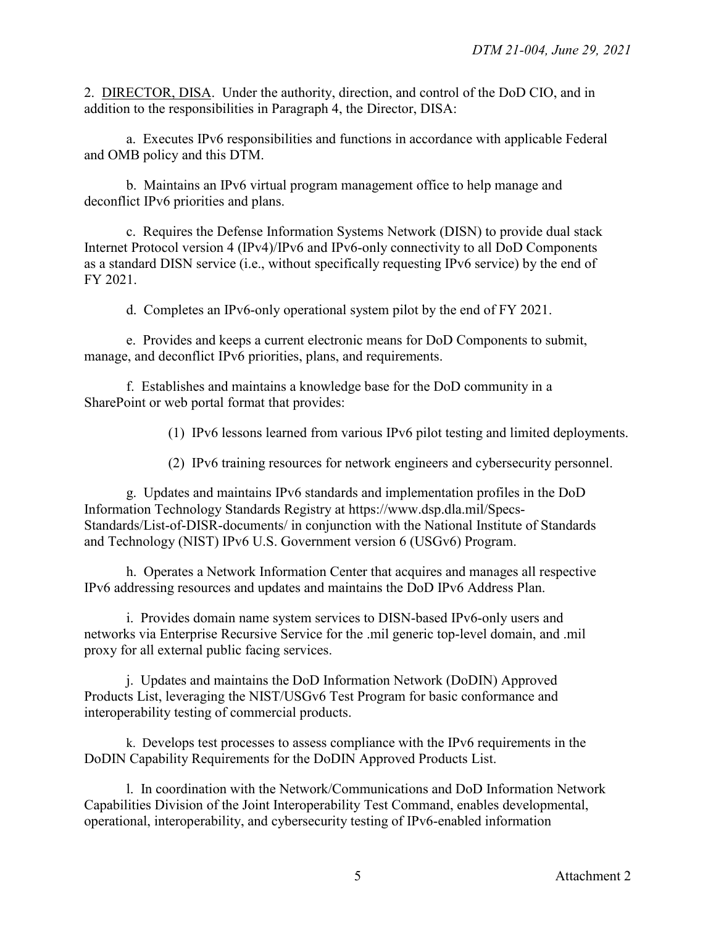2. DIRECTOR, DISA. Under the authority, direction, and control of the DoD CIO, and in addition to the responsibilities in Paragraph 4, the Director, DISA:

a. Executes IPv6 responsibilities and functions in accordance with applicable Federal and OMB policy and this DTM.

b. Maintains an IPv6 virtual program management office to help manage and deconflict IPv6 priorities and plans.

c. Requires the Defense Information Systems Network (DISN) to provide dual stack Internet Protocol version 4 (IPv4)/IPv6 and IPv6-only connectivity to all DoD Components as a standard DISN service (i.e., without specifically requesting IPv6 service) by the end of FY 2021.

d. Completes an IPv6-only operational system pilot by the end of FY 2021.

e. Provides and keeps a current electronic means for DoD Components to submit, manage, and deconflict IPv6 priorities, plans, and requirements.

f. Establishes and maintains a knowledge base for the DoD community in a SharePoint or web portal format that provides:

(1) IPv6 lessons learned from various IPv6 pilot testing and limited deployments.

(2) IPv6 training resources for network engineers and cybersecurity personnel.

g. Updates and maintains IPv6 standards and implementation profiles in the DoD Information Technology Standards Registry at https://www.dsp.dla.mil/Specs-Standards/List-of-DISR-documents/ in conjunction with the National Institute of Standards and Technology (NIST) IPv6 U.S. Government version 6 (USGv6) Program.

h. Operates a Network Information Center that acquires and manages all respective IPv6 addressing resources and updates and maintains the DoD IPv6 Address Plan.

i. Provides domain name system services to DISN-based IPv6-only users and networks via Enterprise Recursive Service for the .mil generic top-level domain, and .mil proxy for all external public facing services.

j. Updates and maintains the DoD Information Network (DoDIN) Approved Products List, leveraging the NIST/USGv6 Test Program for basic conformance and interoperability testing of commercial products.

k. Develops test processes to assess compliance with the IPv6 requirements in the DoDIN Capability Requirements for the DoDIN Approved Products List.

l. In coordination with the Network/Communications and DoD Information Network Capabilities Division of the Joint Interoperability Test Command, enables developmental, operational, interoperability, and cybersecurity testing of IPv6-enabled information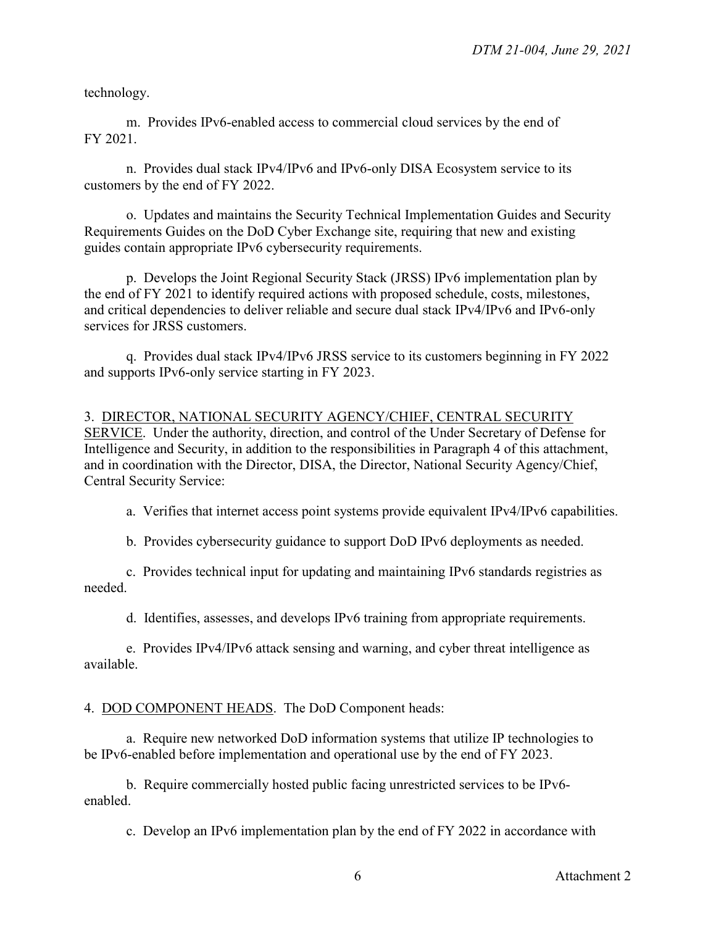technology.

m. Provides IPv6-enabled access to commercial cloud services by the end of FY 2021.

n. Provides dual stack IPv4/IPv6 and IPv6-only DISA Ecosystem service to its customers by the end of FY 2022.

o. Updates and maintains the Security Technical Implementation Guides and Security Requirements Guides on the DoD Cyber Exchange site, requiring that new and existing guides contain appropriate IPv6 cybersecurity requirements.

p. Develops the Joint Regional Security Stack (JRSS) IPv6 implementation plan by the end of FY 2021 to identify required actions with proposed schedule, costs, milestones, and critical dependencies to deliver reliable and secure dual stack IPv4/IPv6 and IPv6-only services for JRSS customers.

q. Provides dual stack IPv4/IPv6 JRSS service to its customers beginning in FY 2022 and supports IPv6-only service starting in FY 2023.

# 3. DIRECTOR, NATIONAL SECURITY AGENCY/CHIEF, CENTRAL SECURITY

SERVICE. Under the authority, direction, and control of the Under Secretary of Defense for Intelligence and Security, in addition to the responsibilities in Paragraph 4 of this attachment, and in coordination with the Director, DISA, the Director, National Security Agency/Chief, Central Security Service:

a. Verifies that internet access point systems provide equivalent IPv4/IPv6 capabilities.

b. Provides cybersecurity guidance to support DoD IPv6 deployments as needed.

c. Provides technical input for updating and maintaining IPv6 standards registries as needed.

d. Identifies, assesses, and develops IPv6 training from appropriate requirements.

e. Provides IPv4/IPv6 attack sensing and warning, and cyber threat intelligence as available.

## 4. DOD COMPONENT HEADS. The DoD Component heads:

a. Require new networked DoD information systems that utilize IP technologies to be IPv6-enabled before implementation and operational use by the end of FY 2023.

b. Require commercially hosted public facing unrestricted services to be IPv6 enabled.

c. Develop an IPv6 implementation plan by the end of FY 2022 in accordance with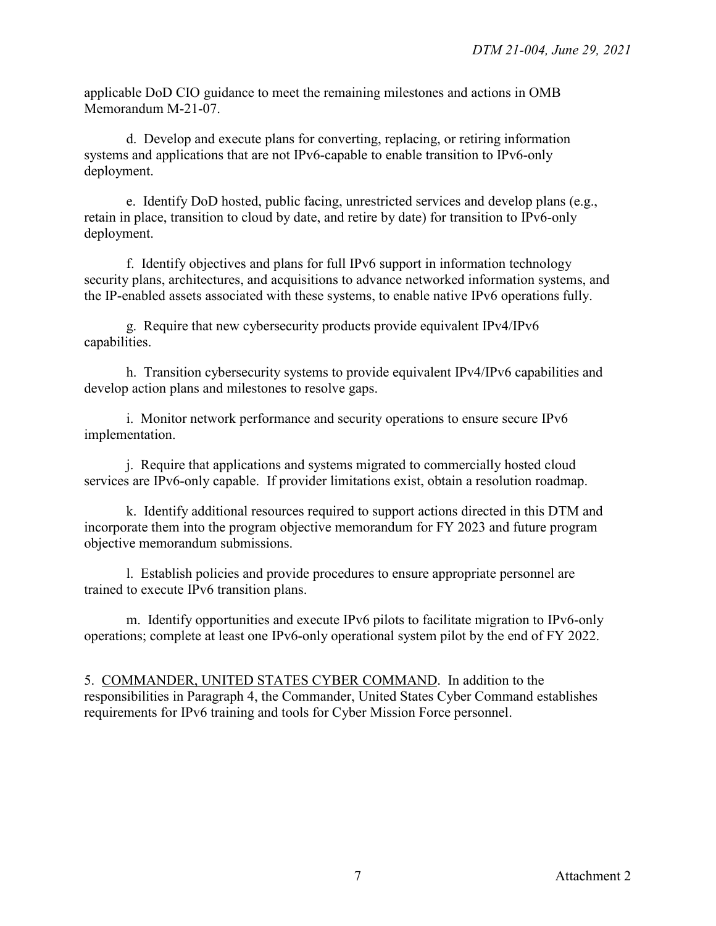applicable DoD CIO guidance to meet the remaining milestones and actions in OMB Memorandum M-21-07.

d. Develop and execute plans for converting, replacing, or retiring information systems and applications that are not IPv6-capable to enable transition to IPv6-only deployment.

e. Identify DoD hosted, public facing, unrestricted services and develop plans (e.g., retain in place, transition to cloud by date, and retire by date) for transition to IPv6-only deployment.

f. Identify objectives and plans for full IPv6 support in information technology security plans, architectures, and acquisitions to advance networked information systems, and the IP-enabled assets associated with these systems, to enable native IPv6 operations fully.

g. Require that new cybersecurity products provide equivalent IPv4/IPv6 capabilities.

h. Transition cybersecurity systems to provide equivalent IPv4/IPv6 capabilities and develop action plans and milestones to resolve gaps.

i. Monitor network performance and security operations to ensure secure IPv6 implementation.

j. Require that applications and systems migrated to commercially hosted cloud services are IPv6-only capable. If provider limitations exist, obtain a resolution roadmap.

k. Identify additional resources required to support actions directed in this DTM and incorporate them into the program objective memorandum for FY 2023 and future program objective memorandum submissions.

l. Establish policies and provide procedures to ensure appropriate personnel are trained to execute IPv6 transition plans.

m. Identify opportunities and execute IPv6 pilots to facilitate migration to IPv6-only operations; complete at least one IPv6-only operational system pilot by the end of FY 2022.

5. COMMANDER, UNITED STATES CYBER COMMAND. In addition to the responsibilities in Paragraph 4, the Commander, United States Cyber Command establishes requirements for IPv6 training and tools for Cyber Mission Force personnel.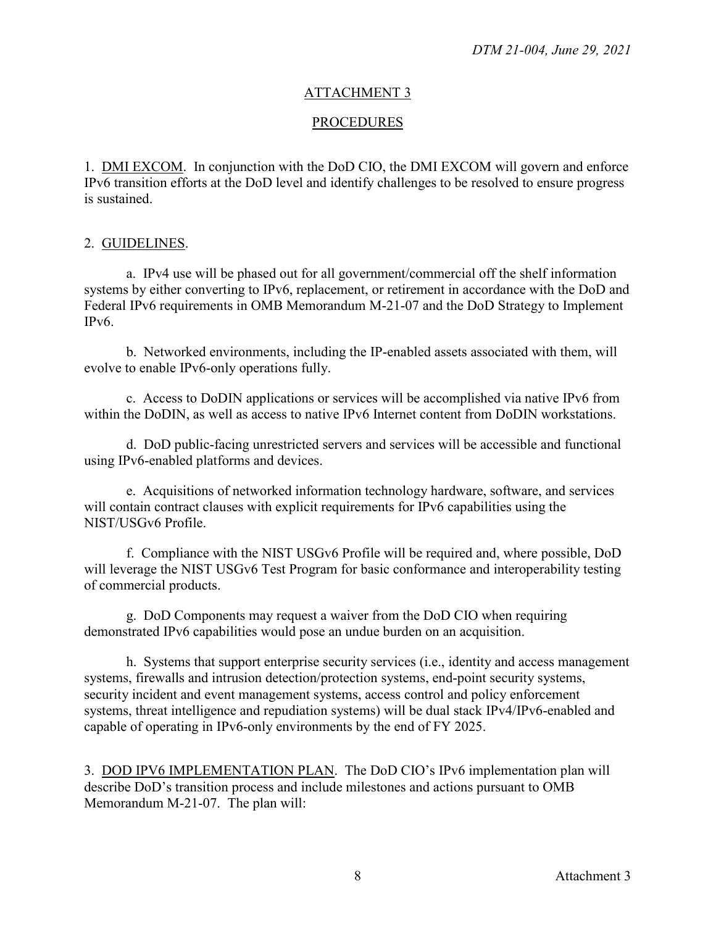#### ATTACHMENT 3

#### PROCEDURES

1. DMI EXCOM. In conjunction with the DoD CIO, the DMI EXCOM will govern and enforce IPv6 transition efforts at the DoD level and identify challenges to be resolved to ensure progress is sustained.

#### 2. GUIDELINES.

a. IPv4 use will be phased out for all government/commercial off the shelf information systems by either converting to IPv6, replacement, or retirement in accordance with the DoD and Federal IPv6 requirements in OMB Memorandum M-21-07 and the DoD Strategy to Implement IPv6.

b. Networked environments, including the IP-enabled assets associated with them, will evolve to enable IPv6-only operations fully.

c. Access to DoDIN applications or services will be accomplished via native IPv6 from within the DoDIN, as well as access to native IPv6 Internet content from DoDIN workstations.

d. DoD public-facing unrestricted servers and services will be accessible and functional using IPv6-enabled platforms and devices.

e. Acquisitions of networked information technology hardware, software, and services will contain contract clauses with explicit requirements for IPv6 capabilities using the NIST/USGv6 Profile.

f. Compliance with the NIST USGv6 Profile will be required and, where possible, DoD will leverage the NIST USGv6 Test Program for basic conformance and interoperability testing of commercial products.

g. DoD Components may request a waiver from the DoD CIO when requiring demonstrated IPv6 capabilities would pose an undue burden on an acquisition.

h. Systems that support enterprise security services (i.e., identity and access management systems, firewalls and intrusion detection/protection systems, end-point security systems, security incident and event management systems, access control and policy enforcement systems, threat intelligence and repudiation systems) will be dual stack IPv4/IPv6-enabled and capable of operating in IPv6-only environments by the end of FY 2025.

3. DOD IPV6 IMPLEMENTATION PLAN. The DoD CIO's IPv6 implementation plan will describe DoD's transition process and include milestones and actions pursuant to OMB Memorandum M-21-07. The plan will: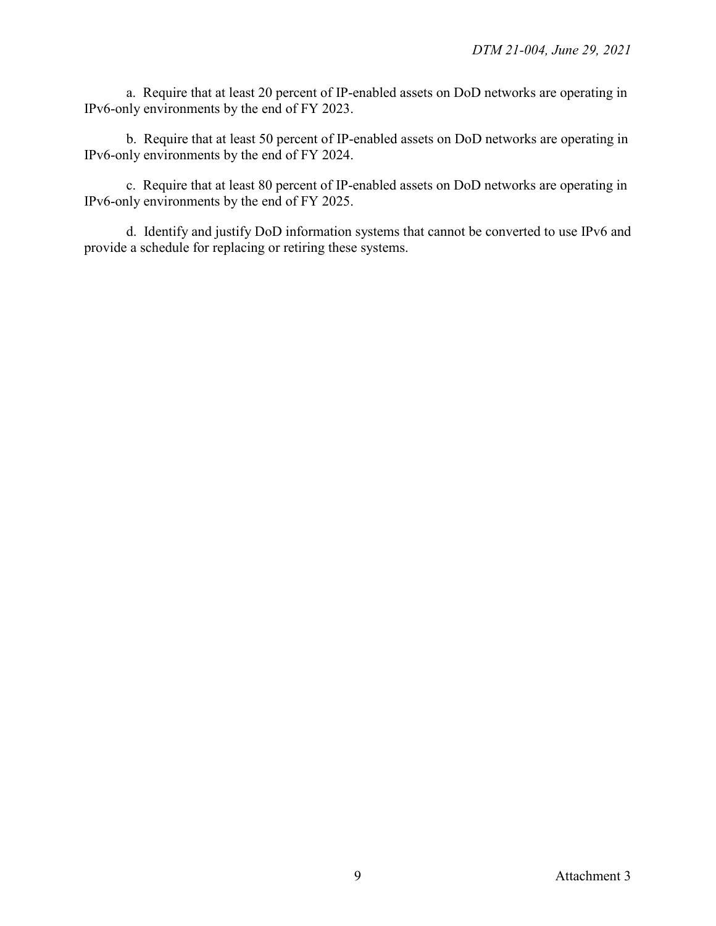a. Require that at least 20 percent of IP-enabled assets on DoD networks are operating in IPv6-only environments by the end of FY 2023.

b. Require that at least 50 percent of IP-enabled assets on DoD networks are operating in IPv6-only environments by the end of FY 2024.

c. Require that at least 80 percent of IP-enabled assets on DoD networks are operating in IPv6-only environments by the end of FY 2025.

d. Identify and justify DoD information systems that cannot be converted to use IPv6 and provide a schedule for replacing or retiring these systems.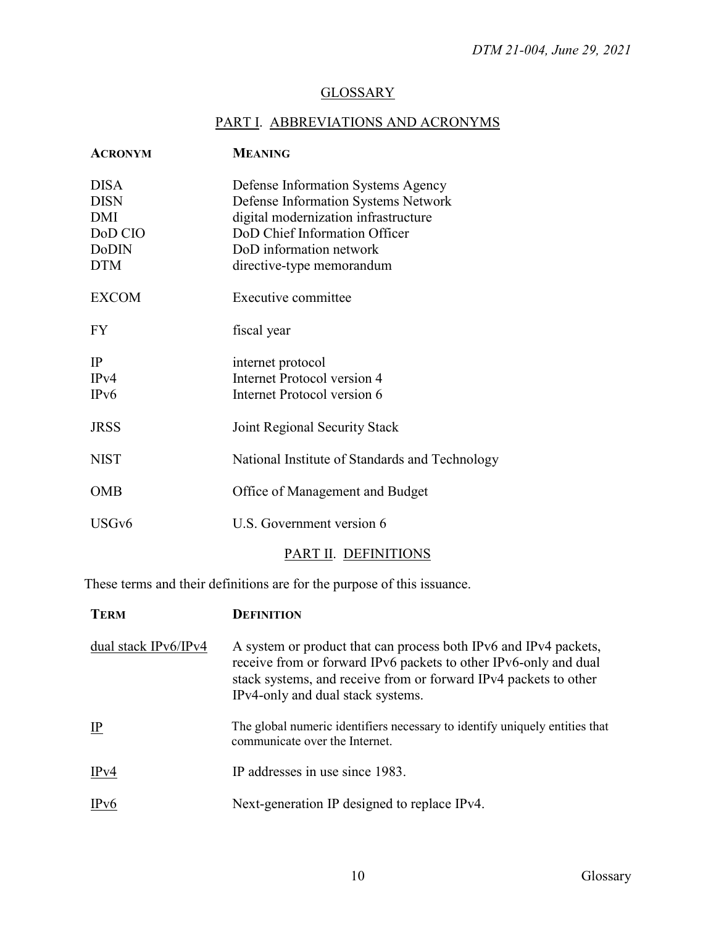# **GLOSSARY**

# PART I. ABBREVIATIONS AND ACRONYMS

| <b>ACRONYM</b>                                                             | <b>MEANING</b>                                                                                                                                                                                             |
|----------------------------------------------------------------------------|------------------------------------------------------------------------------------------------------------------------------------------------------------------------------------------------------------|
| <b>DISA</b><br><b>DISN</b><br>DMI<br>DoD CIO<br><b>DoDIN</b><br><b>DTM</b> | Defense Information Systems Agency<br>Defense Information Systems Network<br>digital modernization infrastructure<br>DoD Chief Information Officer<br>DoD information network<br>directive-type memorandum |
| <b>EXCOM</b>                                                               | Executive committee                                                                                                                                                                                        |
| <b>FY</b>                                                                  | fiscal year                                                                                                                                                                                                |
| IP<br>IPv4<br>IP <sub>v</sub> 6                                            | internet protocol<br><b>Internet Protocol version 4</b><br>Internet Protocol version 6                                                                                                                     |
| <b>JRSS</b>                                                                | Joint Regional Security Stack                                                                                                                                                                              |
| <b>NIST</b>                                                                | National Institute of Standards and Technology                                                                                                                                                             |
| <b>OMB</b>                                                                 | Office of Management and Budget                                                                                                                                                                            |
| USGv6                                                                      | U.S. Government version 6                                                                                                                                                                                  |

# PART II. DEFINITIONS

These terms and their definitions are for the purpose of this issuance.

| <b>TERM</b>          | DEFINITION                                                                                                                                                                                                                                    |
|----------------------|-----------------------------------------------------------------------------------------------------------------------------------------------------------------------------------------------------------------------------------------------|
| dual stack IPv6/IPv4 | A system or product that can process both IPv6 and IPv4 packets,<br>receive from or forward IPv6 packets to other IPv6-only and dual<br>stack systems, and receive from or forward IPv4 packets to other<br>IPv4-only and dual stack systems. |
| IP                   | The global numeric identifiers necessary to identify uniquely entities that<br>communicate over the Internet.                                                                                                                                 |
| IPv4                 | IP addresses in use since 1983.                                                                                                                                                                                                               |
| IPv6                 | Next-generation IP designed to replace IPv4.                                                                                                                                                                                                  |